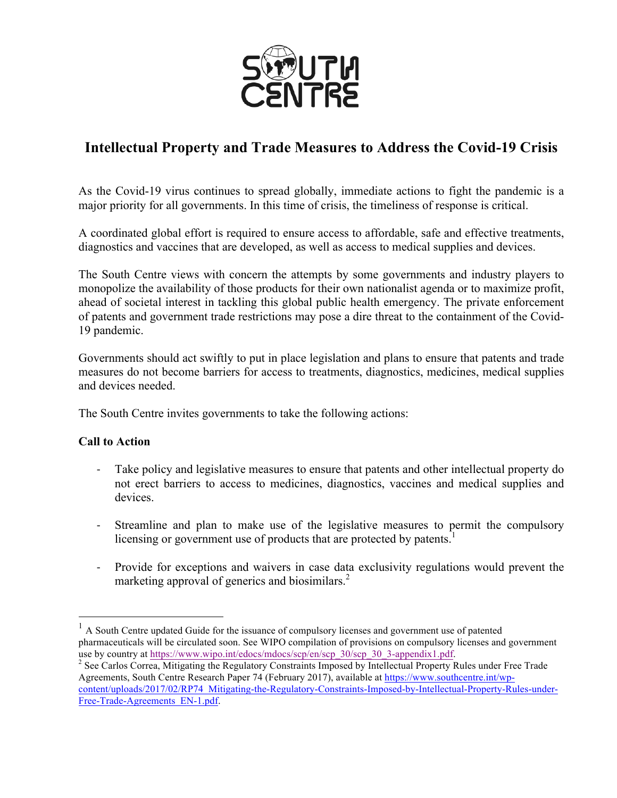

## **Intellectual Property and Trade Measures to Address the Covid-19 Crisis**

As the Covid-19 virus continues to spread globally, immediate actions to fight the pandemic is a major priority for all governments. In this time of crisis, the timeliness of response is critical.

A coordinated global effort is required to ensure access to affordable, safe and effective treatments, diagnostics and vaccines that are developed, as well as access to medical supplies and devices.

The South Centre views with concern the attempts by some governments and industry players to monopolize the availability of those products for their own nationalist agenda or to maximize profit, ahead of societal interest in tackling this global public health emergency. The private enforcement of patents and government trade restrictions may pose a dire threat to the containment of the Covid-19 pandemic.

Governments should act swiftly to put in place legislation and plans to ensure that patents and trade measures do not become barriers for access to treatments, diagnostics, medicines, medical supplies and devices needed.

The South Centre invites governments to take the following actions:

## **Call to Action**

- Take policy and legislative measures to ensure that patents and other intellectual property do not erect barriers to access to medicines, diagnostics, vaccines and medical supplies and devices.
- Streamline and plan to make use of the legislative measures to permit the compulsory licensing or government use of products that are protected by patents.<sup>1</sup>
- Provide for exceptions and waivers in case data exclusivity regulations would prevent the marketing approval of generics and biosimilars.<sup>2</sup>

 $<sup>1</sup>$  A South Centre updated Guide for the issuance of compulsory licenses and government use of patented</sup> pharmaceuticals will be circulated soon. See WIPO compilation of provisions on compulsory licenses and government use by country at https://www.wipo.int/edocs/mdocs/scp/en/scp\_30/scp\_30\_3-appendix1.pdf. <sup>2</sup> See Carlos Correa, Mitigating the Regulatory Constraints Imposed by Intellectual Property Rules under Free Trade

Agreements, South Centre Research Paper 74 (February 2017), available at https://www.southcentre.int/wpcontent/uploads/2017/02/RP74\_Mitigating-the-Regulatory-Constraints-Imposed-by-Intellectual-Property-Rules-under-Free-Trade-Agreements\_EN-1.pdf.